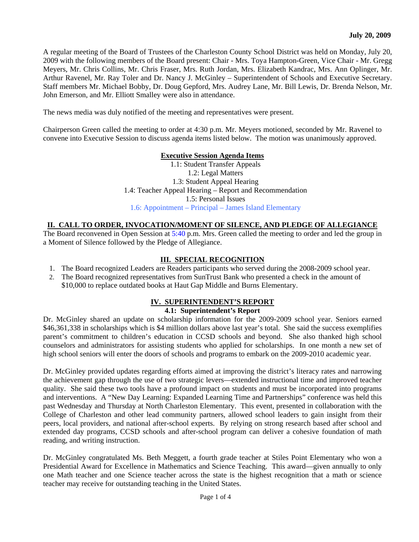A regular meeting of the Board of Trustees of the Charleston County School District was held on Monday, July 20, 2009 with the following members of the Board present: Chair - Mrs. Toya Hampton-Green, Vice Chair - Mr. Gregg Meyers, Mr. Chris Collins, Mr. Chris Fraser, Mrs. Ruth Jordan, Mrs. Elizabeth Kandrac, Mrs. Ann Oplinger, Mr. Arthur Ravenel, Mr. Ray Toler and Dr. Nancy J. McGinley – Superintendent of Schools and Executive Secretary. Staff members Mr. Michael Bobby, Dr. Doug Gepford, Mrs. Audrey Lane, Mr. Bill Lewis, Dr. Brenda Nelson, Mr. John Emerson, and Mr. Elliott Smalley were also in attendance.

The news media was duly notified of the meeting and representatives were present.

Chairperson Green called the meeting to order at 4:30 p.m. Mr. Meyers motioned, seconded by Mr. Ravenel to convene into Executive Session to discuss agenda items listed below. The motion was unanimously approved.

#### **Executive Session Agenda Items**

1.1: Student Transfer Appeals 1.2: Legal Matters 1.3: Student Appeal Hearing 1.4: Teacher Appeal Hearing – Report and Recommendation 1.5: Personal Issues 1.6: Appointment – Principal – James Island Elementary

### **II. CALL TO ORDER, INVOCATION/MOMENT OF SILENCE, AND PLEDGE OF ALLEGIANCE**

The Board reconvened in Open Session at 5:40 p.m. Mrs. Green called the meeting to order and led the group in a Moment of Silence followed by the Pledge of Allegiance.

# **III. SPECIAL RECOGNITION**

- 1. The Board recognized Leaders are Readers participants who served during the 2008-2009 school year.
- 2. The Board recognized representatives from SunTrust Bank who presented a check in the amount of \$10,000 to replace outdated books at Haut Gap Middle and Burns Elementary.

# **IV. SUPERINTENDENT'S REPORT**

### **4.1: Superintendent's Report**

Dr. McGinley shared an update on scholarship information for the 2009-2009 school year. Seniors earned \$46,361,338 in scholarships which is \$4 million dollars above last year's total. She said the success exemplifies parent's commitment to children's education in CCSD schools and beyond. She also thanked high school counselors and administrators for assisting students who applied for scholarships. In one month a new set of high school seniors will enter the doors of schools and programs to embark on the 2009-2010 academic year.

Dr. McGinley provided updates regarding efforts aimed at improving the district's literacy rates and narrowing the achievement gap through the use of two strategic levers—extended instructional time and improved teacher quality. She said these two tools have a profound impact on students and must be incorporated into programs and interventions. A "New Day Learning: Expanded Learning Time and Partnerships" conference was held this past Wednesday and Thursday at North Charleston Elementary. This event, presented in collaboration with the College of Charleston and other lead community partners, allowed school leaders to gain insight from their peers, local providers, and national after-school experts. By relying on strong research based after school and extended day programs, CCSD schools and after-school program can deliver a cohesive foundation of math reading, and writing instruction.

Dr. McGinley congratulated Ms. Beth Meggett, a fourth grade teacher at Stiles Point Elementary who won a Presidential Award for Excellence in Mathematics and Science Teaching. This award—given annually to only one Math teacher and one Science teacher across the state is the highest recognition that a math or science teacher may receive for outstanding teaching in the United States.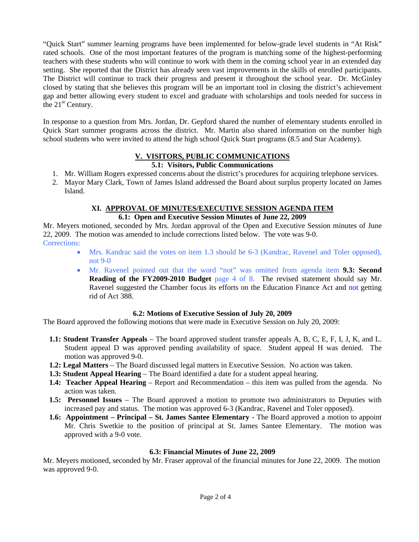"Quick Start" summer learning programs have been implemented for below-grade level students in "At Risk" rated schools. One of the most important features of the program is matching some of the highest-performing teachers with these students who will continue to work with them in the coming school year in an extended day setting. She reported that the District has already seen vast improvements in the skills of enrolled participants. The District will continue to track their progress and present it throughout the school year. Dr. McGinley closed by stating that she believes this program will be an important tool in closing the district's achievement gap and better allowing every student to excel and graduate with scholarships and tools needed for success in the  $21<sup>st</sup>$  Century.

In response to a question from Mrs. Jordan, Dr. Gepford shared the number of elementary students enrolled in Quick Start summer programs across the district. Mr. Martin also shared information on the number high school students who were invited to attend the high school Quick Start programs (8.5 and Star Academy).

# **V. VISITORS, PUBLIC COMMUNICATIONS**

# **5.1: Visitors, Public Communications**

- 1. Mr. William Rogers expressed concerns about the district's procedures for acquiring telephone services.
- 2. Mayor Mary Clark, Town of James Island addressed the Board about surplus property located on James Island.

### **XI. APPROVAL OF MINUTES/EXECUTIVE SESSION AGENDA ITEM 6.1: Open and Executive Session Minutes of June 22, 2009**

Mr. Meyers motioned, seconded by Mrs. Jordan approval of the Open and Executive Session minutes of June 22, 2009. The motion was amended to include corrections listed below. The vote was 9-0. Corrections:

- Mrs. Kandrac said the votes on item 1.3 should be 6-3 (Kandrac, Ravenel and Toler opposed), not 9-0
- Mr. Ravenel pointed out that the word "not" was omitted from agenda item **9.3: Second Reading of the FY2009-2010 Budget** page 4 of 8. The revised statement should say Mr. Ravenel suggested the Chamber focus its efforts on the Education Finance Act and not getting rid of Act 388.

#### **6.2: Motions of Executive Session of July 20, 2009**

The Board approved the following motions that were made in Executive Session on July 20, 2009:

- **1.1: Student Transfer Appeals**  The board approved student transfer appeals A, B, C, E, F, I, J, K, and L. Student appeal D was approved pending availability of space. Student appeal H was denied. The motion was approved 9-0.
- **1.2: Legal Matters**  The Board discussed legal matters in Executive Session. No action was taken.
- **1.3: Student Appeal Hearing**  The Board identified a date for a student appeal hearing.
- **1.4: Teacher Appeal Hearing**  Report and Recommendation this item was pulled from the agenda. No action was taken.
- **1.5: Personnel Issues** The Board approved a motion to promote two administrators to Deputies with increased pay and status. The motion was approved 6-3 (Kandrac, Ravenel and Toler opposed).
- **1.6: Appointment Principal St. James Santee Elementary**  The Board approved a motion to appoint Mr. Chris Swetkie to the position of principal at St. James Santee Elementary. The motion was approved with a 9-0 vote.

# **6.3: Financial Minutes of June 22, 2009**

Mr. Meyers motioned, seconded by Mr. Fraser approval of the financial minutes for June 22, 2009. The motion was approved 9-0.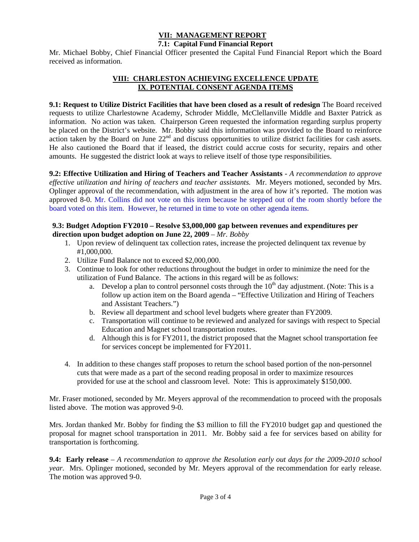#### **VII: MANAGEMENT REPORT 7.1: Capital Fund Financial Report**

Mr. Michael Bobby, Chief Financial Officer presented the Capital Fund Financial Report which the Board received as information.

# **VIII: CHARLESTON ACHIEVING EXCELLENCE UPDATE IX**. **POTENTIAL CONSENT AGENDA ITEMS**

# **9.1: Request to Utilize District Facilities that have been closed as a result of redesign** The Board received

requests to utilize Charlestowne Academy, Schroder Middle, McClellanville Middle and Baxter Patrick as information. No action was taken. Chairperson Green requested the information regarding surplus property be placed on the District's website. Mr. Bobby said this information was provided to the Board to reinforce action taken by the Board on June 22nd and discuss opportunities to utilize district facilities for cash assets. He also cautioned the Board that if leased, the district could accrue costs for security, repairs and other amounts. He suggested the district look at ways to relieve itself of those type responsibilities.

**9.2: Effective Utilization and Hiring of Teachers and Teacher Assistants** - *A recommendation to approve effective utilization and hiring of teachers and teacher assistants.* Mr. Meyers motioned, seconded by Mrs. Oplinger approval of the recommendation, with adjustment in the area of how it's reported. The motion was approved 8-0. Mr. Collins did not vote on this item because he stepped out of the room shortly before the board voted on this item. However, he returned in time to vote on other agenda items.

### **9.3: Budget Adoption FY2010 – Resolve \$3,000,000 gap between revenues and expenditures per direction upon budget adoption on June 22, 2009** – *Mr. Bobby*

- 1. Upon review of delinquent tax collection rates, increase the projected delinquent tax revenue by #1,000,000.
- 2. Utilize Fund Balance not to exceed \$2,000,000.
- 3. Continue to look for other reductions throughout the budget in order to minimize the need for the utilization of Fund Balance. The actions in this regard will be as follows:
	- a. Develop a plan to control personnel costs through the  $10<sup>th</sup>$  day adjustment. (Note: This is a follow up action item on the Board agenda – "Effective Utilization and Hiring of Teachers and Assistant Teachers.")
	- b. Review all department and school level budgets where greater than FY2009.
	- c. Transportation will continue to be reviewed and analyzed for savings with respect to Special Education and Magnet school transportation routes.
	- d. Although this is for FY2011, the district proposed that the Magnet school transportation fee for services concept be implemented for FY2011.
- 4. In addition to these changes staff proposes to return the school based portion of the non-personnel cuts that were made as a part of the second reading proposal in order to maximize resources provided for use at the school and classroom level. Note: This is approximately \$150,000.

Mr. Fraser motioned, seconded by Mr. Meyers approval of the recommendation to proceed with the proposals listed above. The motion was approved 9-0.

Mrs. Jordan thanked Mr. Bobby for finding the \$3 million to fill the FY2010 budget gap and questioned the proposal for magnet school transportation in 2011. Mr. Bobby said a fee for services based on ability for transportation is forthcoming.

**9.4: Early release** – *A recommendation to approve the Resolution early out days for the 2009-2010 school year.* Mrs. Oplinger motioned, seconded by Mr. Meyers approval of the recommendation for early release. The motion was approved 9-0.